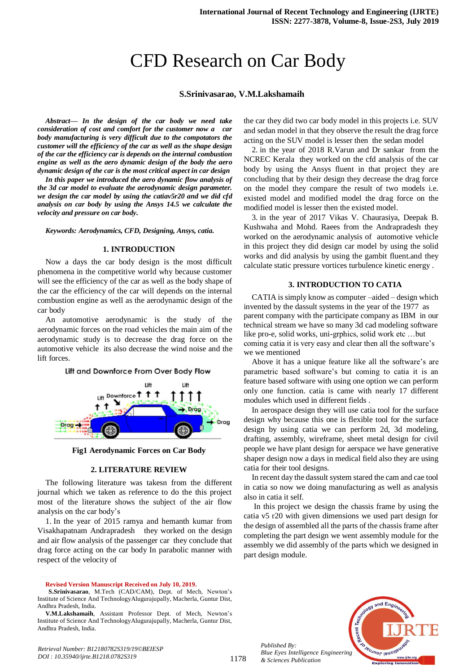# CFD Research on Car Body

#### **S.Srinivasarao, V.M.Lakshamaih**

*Abstract***—** *In the design of the car body we need take consideration of cost and comfort for the customer now a car body manufacturing is very difficult due to the compotators the customer will the efficiency of the car as well as the shape design of the car the efficiency car is depends on the internal combustion engine as well as the aero dynamic design of the body the aero dynamic design of the car is the most critical aspect in car design*

*In this paper we introduced the aero dynamic flow analysis of the 3d car model to evaluate the aerodynamic design parameter. we design the car model by using the catiav5r20 and we did cfd analysis on car body by using the Ansys 14.5 we calculate the velocity and pressure on car body.*

*Keywords: Aerodynamics, CFD, Designing, Ansys, catia.*

#### **1. INTRODUCTION**

Now a days the car body design is the most difficult phenomena in the competitive world why because customer will see the efficiency of the car as well as the body shape of the car the efficiency of the car will depends on the internal combustion engine as well as the aerodynamic design of the car body

An automotive aerodynamic is the study of the aerodynamic forces on the road vehicles the main aim of the aerodynamic study is to decrease the drag force on the automotive vehicle its also decrease the wind noise and the lift forces.



**Fig1 Aerodynamic Forces on Car Body**

#### **2. LITERATURE REVIEW**

The following literature was takesn from the different journal which we taken as reference to do the this project most of the literature shows the subject of the air flow analysis on the car body's

1. In the year of 2015 ramya and hemanth kumar from Visakhapatnam Andrapradesh they worked on the design and air flow analysis of the passenger car they conclude that drag force acting on the car body In parabolic manner with respect of the velocity of

**Revised Version Manuscript Received on July 10, 2019.**

*Retrieval Number: B12180782S319/19©BEIESP DOI : 10.35940/ijrte.B1218.0782S319*

the car they did two car body model in this projects i.e. SUV and sedan model in that they observe the result the drag force acting on the SUV model is lesser then the sedan model

2. in the year of 2018 R.Varun and Dr sankar from the NCREC Kerala they worked on the cfd analysis of the car body by using the Ansys fluent in that project they are concluding that by their design they decrease the drag force on the model they compare the result of two models i.e. existed model and modified model the drag force on the modified model is lesser then the existed model.

3. in the year of 2017 Vikas V. Chaurasiya, Deepak B. Kushwaha and Mohd. Raees from the Andrapradesh they worked on the aerodynamic analysis of automotive vehicle in this project they did design car model by using the solid works and did analysis by using the gambit fluent.and they calculate static pressure vortices turbulence kinetic energy .

#### **3. INTRODUCTION TO CATIA**

CATIA is simply know as computer –aided – design which invented by the dassult systems in the year of the 1977 as parent company with the participate company as IBM in our technical stream we have so many 3d cad modeling software like pro-e, solid works, uni-grphics, solid work etc …but coming catia it is very easy and clear then all the software's we we mentioned

Above it has a unique feature like all the software's are parametric based software's but coming to catia it is an feature based software with using one option we can perform only one function. catia is came with nearly 17 different modules which used in different fields .

In aerospace design they will use catia tool for the surface design why because this one is flexible tool for the surface design by using catia we can perform 2d, 3d modeling, drafting, assembly, wireframe, sheet metal design for civil people we have plant design for aerspace we have generative shaper design now a days in medical field also they are using catia for their tool designs.

In recent day the dassult system stared the cam and cae tool in catia so now we doing manufacturing as well as analysis also in catia it self.

In this project we design the chassis frame by using the catia v5 r20 with given dimensions we used part design for the design of assembled all the parts of the chassis frame after completing the part design we went assembly module for the assembly we did assembly of the parts which we designed in part design module.



*Published By: Blue Eyes Intelligence Engineering & Sciences Publication* 

**S.Srinivasarao**, M.Tech (CAD/CAM), Dept. of Mech, Newton's Institute of Science And TechnologyAlugurajupally, Macherla, Guntur Dist, Andhra Pradesh, India.

**V.M.Lakshamaih**, Assistant Professor Dept. of Mech, Newton's Institute of Science And TechnologyAlugurajupally, Macherla, Guntur Dist, Andhra Pradesh, India.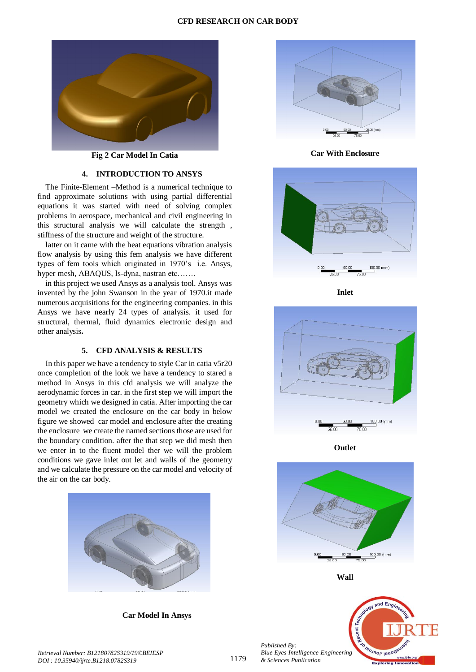#### **CFD RESEARCH ON CAR BODY**



**Fig 2 Car Model In Catia** 

#### **4. INTRODUCTION TO ANSYS**

The Finite-Element –Method is a numerical technique to find approximate solutions with using partial differential equations it was started with need of solving complex problems in aerospace, mechanical and civil engineering in this structural analysis we will calculate the strength , stiffness of the structure and weight of the structure.

latter on it came with the heat equations vibration analysis flow analysis by using this fem analysis we have different types of fem tools which originated in 1970's i.e. Ansys, hyper mesh, ABAQUS, ls-dyna, nastran etc…….

in this project we used Ansys as a analysis tool. Ansys was invented by the john Swanson in the year of 1970.it made numerous acquisitions for the engineering companies. in this Ansys we have nearly 24 types of analysis. it used for structural, thermal, fluid dynamics electronic design and other analysis**.**

### **5. CFD ANALYSIS & RESULTS**

In this paper we have a tendency to style Car in catia v5r20 once completion of the look we have a tendency to stared a method in Ansys in this cfd analysis we will analyze the aerodynamic forces in car. in the first step we will import the geometry which we designed in catia. After importing the car model we created the enclosure on the car body in below figure we showed car model and enclosure after the creating the enclosure we create the named sections those are used for the boundary condition. after the that step we did mesh then we enter in to the fluent model ther we will the problem conditions we gave inlet out let and walls of the geometry and we calculate the pressure on the car model and velocity of the air on the car body.



 **Car Model In Ansys** 



**Car With Enclosure** 



**Inlet**



**Outlet** 







*Retrieval Number: B12180782S319/19©BEIESP DOI : 10.35940/ijrte.B1218.0782S319*

*Published By:*

*& Sciences Publication*